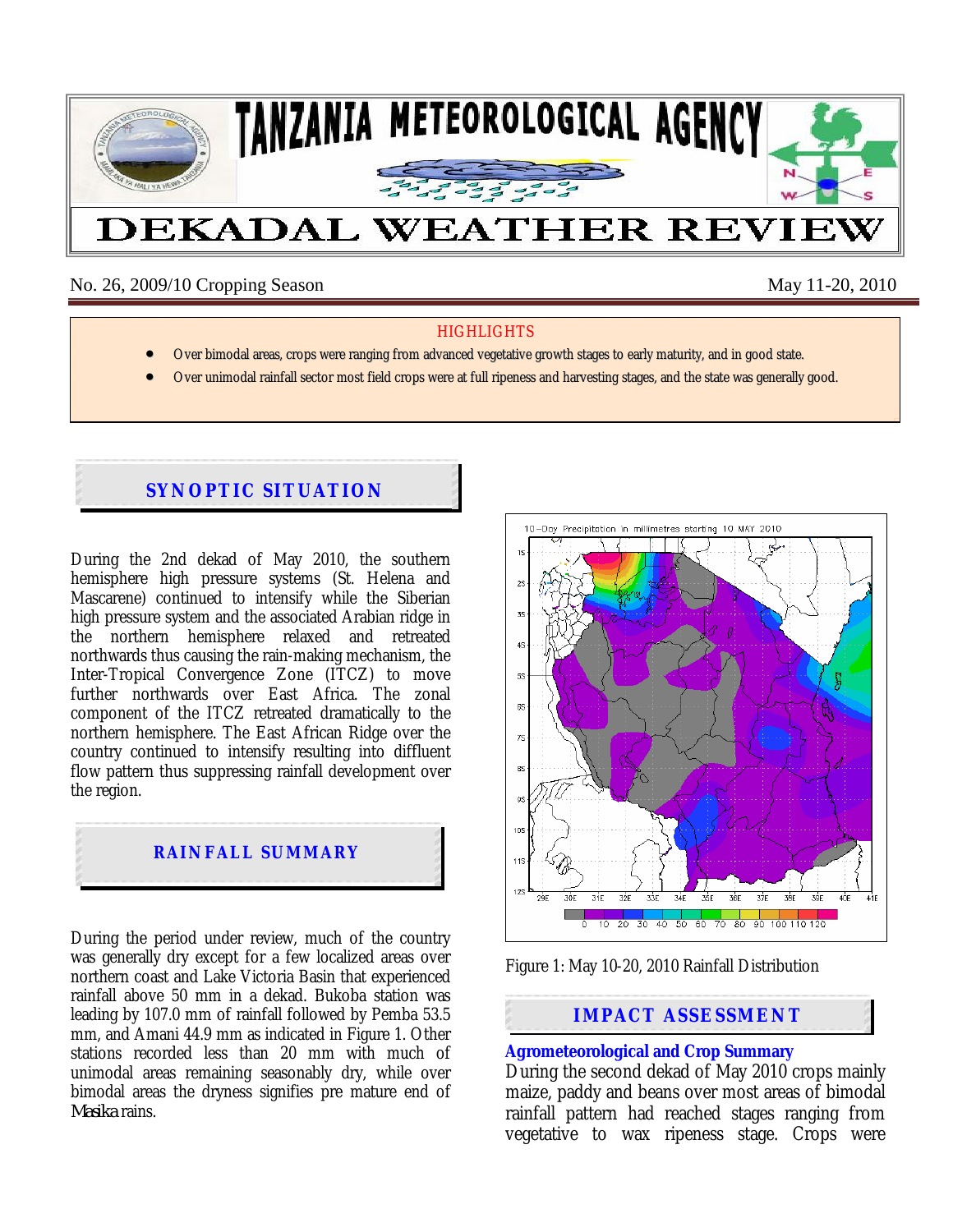

No. 26, 2009/10 Cropping Season May 11-20, 2010

## **HIGHLIGHTS**

- Over bimodal areas, crops were ranging from advanced vegetative growth stages to early maturity, and in good state.
- Over unimodal rainfall sector most field crops were at full ripeness and harvesting stages, and the state was generally good.

# **SYNOPTIC SITUATION**

During the 2nd dekad of May 2010, the southern hemisphere high pressure systems (St. Helena and Mascarene) continued to intensify while the Siberian high pressure system and the associated Arabian ridge in the northern hemisphere relaxed and retreated northwards thus causing the rain-making mechanism, the Inter-Tropical Convergence Zone (ITCZ) to move further northwards over East Africa. The zonal component of the ITCZ retreated dramatically to the northern hemisphere. The East African Ridge over the country continued to intensify resulting into diffluent flow pattern thus suppressing rainfall development over the region.



During the period under review, much of the country was generally dry except for a few localized areas over northern coast and Lake Victoria Basin that experienced rainfall above 50 mm in a dekad. Bukoba station was leading by 107.0 mm of rainfall followed by Pemba 53.5 mm, and Amani 44.9 mm as indicated in Figure 1. Other stations recorded less than 20 mm with much of unimodal areas remaining seasonably dry, while over bimodal areas the dryness signifies pre mature end of *Masika* rains.





## **IMPACT ASSESSMENT**

## **Agrometeorological and Crop Summary**

During the second dekad of May 2010 crops mainly maize, paddy and beans over most areas of bimodal rainfall pattern had reached stages ranging from vegetative to wax ripeness stage. Crops were